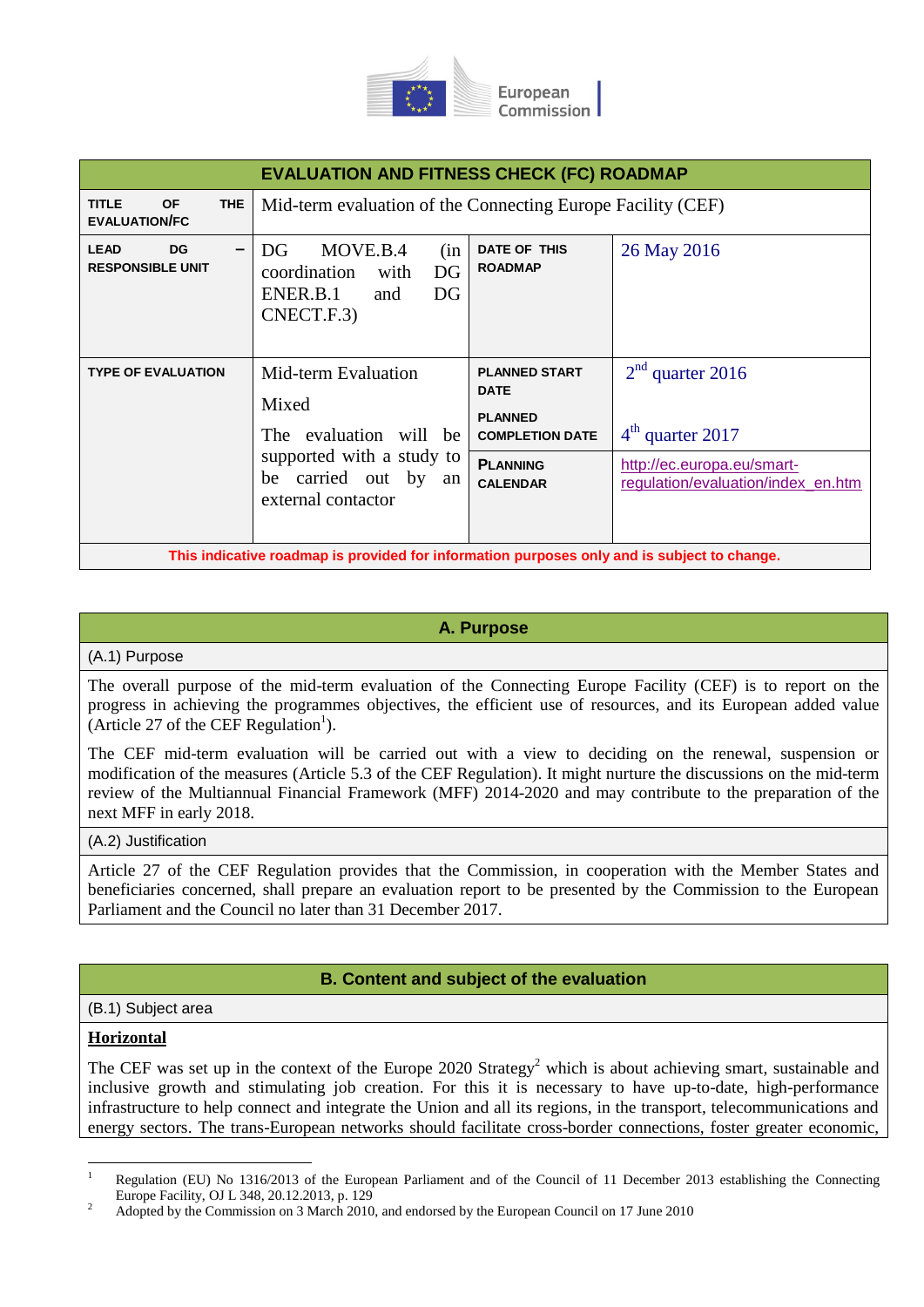

| <b>EVALUATION AND FITNESS CHECK (FC) ROADMAP</b>                                            |                                                                                                                                      |                                                                                                                       |                                                                                                              |
|---------------------------------------------------------------------------------------------|--------------------------------------------------------------------------------------------------------------------------------------|-----------------------------------------------------------------------------------------------------------------------|--------------------------------------------------------------------------------------------------------------|
| <b>TITLE</b><br><b>OF</b><br><b>THE</b><br><b>EVALUATION/FC</b>                             | Mid-term evaluation of the Connecting Europe Facility (CEF)                                                                          |                                                                                                                       |                                                                                                              |
| <b>LEAD</b><br><b>DG</b><br>-<br><b>RESPONSIBLE UNIT</b>                                    | MOVE.B.4<br>DG<br>(in<br>coordination<br>DG<br>with<br>ENER.B.1<br>DG<br>and<br>CNECT.F.3)                                           | DATE OF THIS<br><b>ROADMAP</b>                                                                                        | 26 May 2016                                                                                                  |
| <b>TYPE OF EVALUATION</b>                                                                   | Mid-term Evaluation<br>Mixed<br>The evaluation will be<br>supported with a study to<br>carried out by an<br>be<br>external contactor | <b>PLANNED START</b><br><b>DATE</b><br><b>PLANNED</b><br><b>COMPLETION DATE</b><br><b>PLANNING</b><br><b>CALENDAR</b> | $2nd$ quarter 2016<br>$4th$ quarter 2017<br>http://ec.europa.eu/smart-<br>regulation/evaluation/index_en.htm |
| This indicative roadmap is provided for information purposes only and is subject to change. |                                                                                                                                      |                                                                                                                       |                                                                                                              |

## **A. Purpose**

#### (A.1) Purpose

The overall purpose of the mid-term evaluation of the Connecting Europe Facility (CEF) is to report on the progress in achieving the programmes objectives, the efficient use of resources, and its European added value (Article 27 of the CEF Regulation<sup>1</sup>).

The CEF mid-term evaluation will be carried out with a view to deciding on the renewal, suspension or modification of the measures (Article 5.3 of the CEF Regulation). It might nurture the discussions on the mid-term review of the Multiannual Financial Framework (MFF) 2014-2020 and may contribute to the preparation of the next MFF in early 2018.

#### (A.2) Justification

Article 27 of the CEF Regulation provides that the Commission, in cooperation with the Member States and beneficiaries concerned, shall prepare an evaluation report to be presented by the Commission to the European Parliament and the Council no later than 31 December 2017.

## **B. Content and subject of the evaluation**

### (B.1) Subject area

### **Horizontal**

The CEF was set up in the context of the Europe 2020 Strategy<sup>2</sup> which is about achieving smart, sustainable and inclusive growth and stimulating job creation. For this it is necessary to have up-to-date, high-performance infrastructure to help connect and integrate the Union and all its regions, in the transport, telecommunications and energy sectors. The trans-European networks should facilitate cross-border connections, foster greater economic,

<sup>1</sup> Regulation (EU) No 1316/2013 of the European Parliament and of the Council of 11 December 2013 establishing the Connecting Europe Facility, OJ L 348, 20.12.2013, p. 129

<sup>2</sup> Adopted by the Commission on 3 March 2010, and endorsed by the European Council on 17 June 2010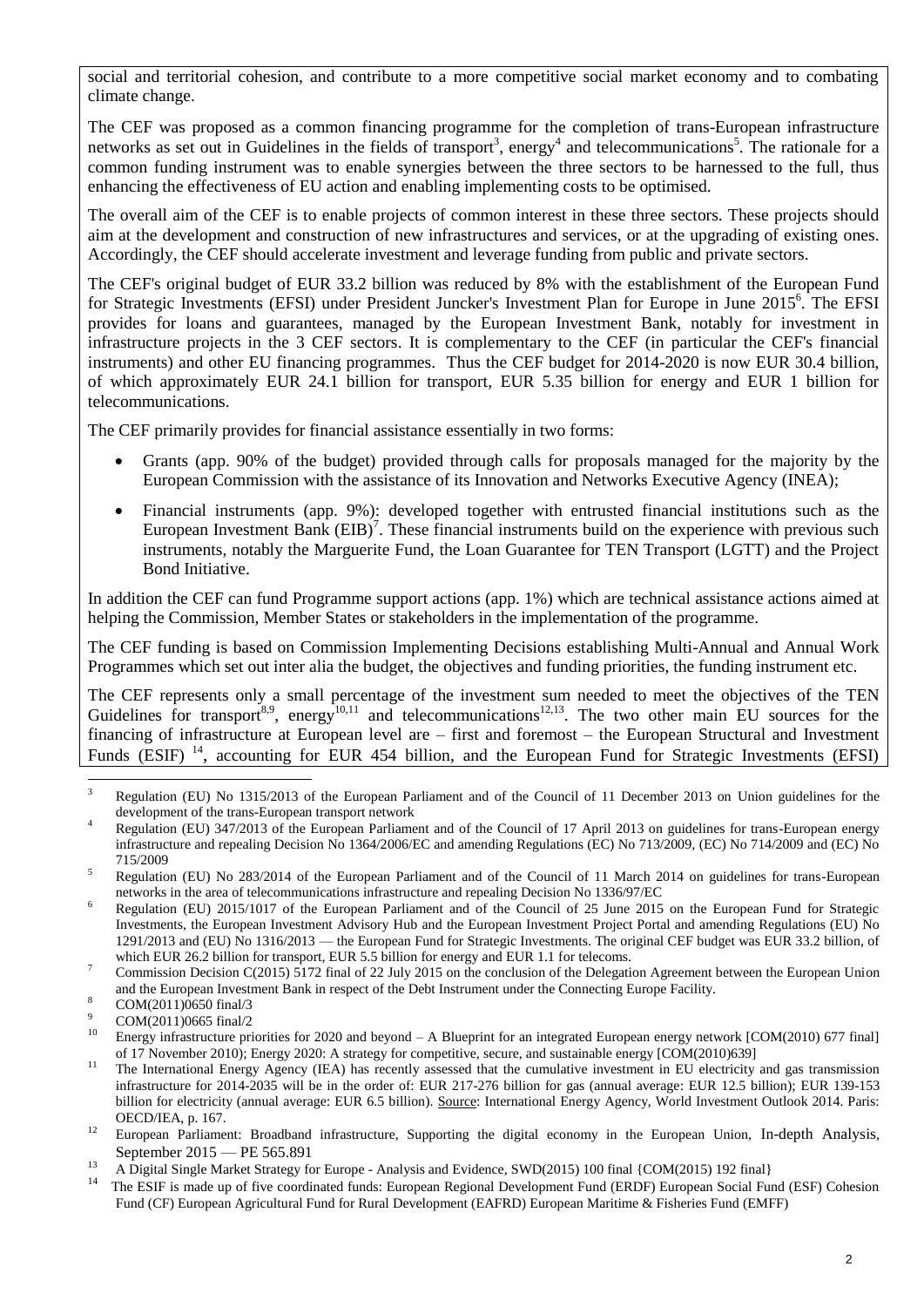social and territorial cohesion, and contribute to a more competitive social market economy and to combating climate change.

The CEF was proposed as a common financing programme for the completion of trans-European infrastructure networks as set out in Guidelines in the fields of transport<sup>3</sup>, energy<sup>4</sup> and telecommunications<sup>5</sup>. The rationale for a common funding instrument was to enable synergies between the three sectors to be harnessed to the full, thus enhancing the effectiveness of EU action and enabling implementing costs to be optimised.

The overall aim of the CEF is to enable projects of common interest in these three sectors. These projects should aim at the development and construction of new infrastructures and services, or at the upgrading of existing ones. Accordingly, the CEF should accelerate investment and leverage funding from public and private sectors.

The CEF's original budget of EUR 33.2 billion was reduced by 8% with the establishment of the European Fund for Strategic Investments (EFSI) under President Juncker's Investment Plan for Europe in June 2015<sup>6</sup>. The EFSI provides for loans and guarantees, managed by the European Investment Bank, notably for investment in infrastructure projects in the 3 CEF sectors. It is complementary to the CEF (in particular the CEF's financial instruments) and other EU financing programmes. Thus the CEF budget for 2014-2020 is now EUR 30.4 billion, of which approximately EUR 24.1 billion for transport, EUR 5.35 billion for energy and EUR 1 billion for telecommunications.

The CEF primarily provides for financial assistance essentially in two forms:

- Grants (app. 90% of the budget) provided through calls for proposals managed for the majority by the European Commission with the assistance of its Innovation and Networks Executive Agency (INEA);
- Financial instruments (app. 9%): developed together with entrusted financial institutions such as the European Investment Bank  $(EIB)^7$ . These financial instruments build on the experience with previous such instruments, notably the Marguerite Fund, the Loan Guarantee for TEN Transport (LGTT) and the Project Bond Initiative.

In addition the CEF can fund Programme support actions (app. 1%) which are technical assistance actions aimed at helping the Commission, Member States or stakeholders in the implementation of the programme.

The CEF funding is based on Commission Implementing Decisions establishing Multi-Annual and Annual Work Programmes which set out inter alia the budget, the objectives and funding priorities, the funding instrument etc.

The CEF represents only a small percentage of the investment sum needed to meet the objectives of the TEN Guidelines for transport<sup>8,9</sup>, energy<sup>10,11</sup> and telecommunications<sup>12,13</sup>. The two other main EU sources for the financing of infrastructure at European level are – first and foremost – the European Structural and Investment Funds (ESIF)  $^{14}$ , accounting for EUR 454 billion, and the European Fund for Strategic Investments (EFSI)

1

<sup>3</sup> Regulation (EU) No 1315/2013 of the European Parliament and of the Council of 11 December 2013 on Union guidelines for the development of the trans-European transport network

<sup>4</sup> Regulation (EU) 347/2013 of the European Parliament and of the Council of 17 April 2013 on guidelines for trans-European energy infrastructure and repealing Decision No 1364/2006/EC and amending Regulations (EC) No 713/2009, (EC) No 714/2009 and (EC) No 715/2009

<sup>&</sup>lt;sup>5</sup> Regulation (EU) No 283/2014 of the European Parliament and of the Council of 11 March 2014 on guidelines for trans-European networks in the area of telecommunications infrastructure and repealing Decision No 1336/97/EC

<sup>&</sup>lt;sup>6</sup> Regulation (EU) 2015/1017 of the European Parliament and of the Council of 25 June 2015 on the European Fund for Strategic Investments, the European Investment Advisory Hub and the European Investment Project Portal and amending Regulations (EU) No 1291/2013 and (EU) No 1316/2013 — the European Fund for Strategic Investments. The original CEF budget was EUR 33.2 billion, of which EUR 26.2 billion for transport, EUR 5.5 billion for energy and EUR 1.1 for telecoms.

<sup>&</sup>lt;sup>7</sup> Commission Decision C(2015)  $\frac{1}{2}$  final of 22 July 2015 on the conclusion of the Delegation Agreement between the European Union and the European Investment Bank in respect of the Debt Instrument under the Connecting Europe Facility.

 $8$  COM(2011)0650 final/3

 $^{9}$  COM(2011)0665 final/2

Energy infrastructure priorities for 2020 and beyond  $- A$  Blueprint for an integrated European energy network  $[COM(2010) 677$  final] of 17 November 2010); Energy 2020: A strategy for competitive, secure, and sustainable energy [COM(2010)639]

<sup>&</sup>lt;sup>11</sup> The International Energy Agency (IEA) has recently assessed that the cumulative investment in EU electricity and gas transmission infrastructure for 2014-2035 will be in the order of: EUR 217-276 billion for gas (annual average: EUR 12.5 billion); EUR 139-153 billion for electricity (annual average: EUR 6.5 billion). Source: International Energy Agency, World Investment Outlook 2014. Paris: OECD/IEA, p. 167.

<sup>&</sup>lt;sup>12</sup> European Parliament: Broadband infrastructure, Supporting the digital economy in the European Union, In-depth Analysis, September 2015 — PE 565.891

<sup>&</sup>lt;sup>13</sup> A Digital Single Market Strategy for Europe - Analysis and Evidence, SWD(2015) 100 final {COM(2015) 192 final}

<sup>14</sup> The ESIF is made up of five coordinated funds: European Regional Development Fund (ERDF) European Social Fund (ESF) Cohesion Fund (CF) European Agricultural Fund for Rural Development (EAFRD) European Maritime & Fisheries Fund (EMFF)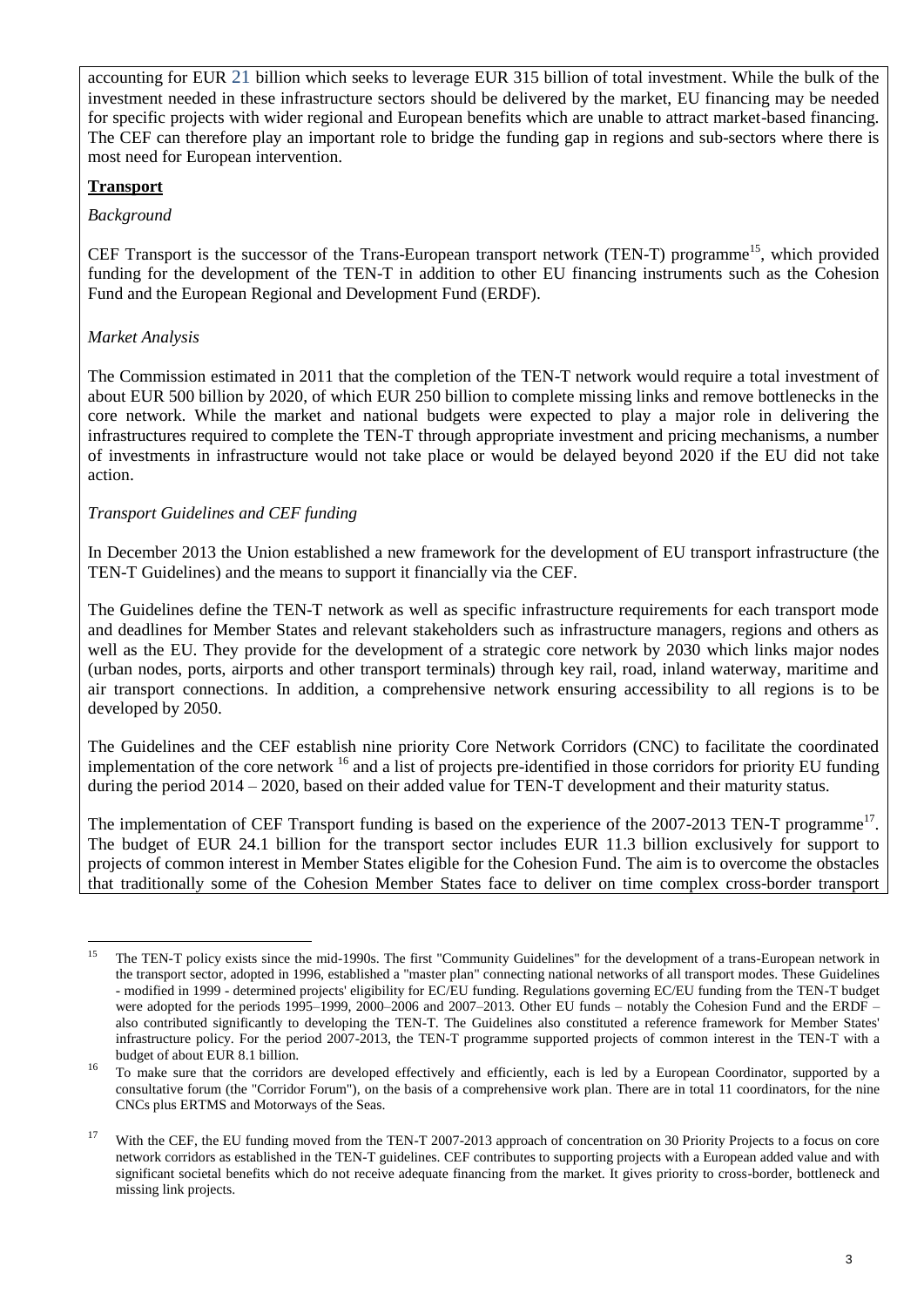accounting for EUR 21 billion which seeks to leverage EUR 315 billion of total investment. While the bulk of the investment needed in these infrastructure sectors should be delivered by the market, EU financing may be needed for specific projects with wider regional and European benefits which are unable to attract market-based financing. The CEF can therefore play an important role to bridge the funding gap in regions and sub-sectors where there is most need for European intervention.

## **Transport**

*Background*

CEF Transport is the successor of the Trans-European transport network (TEN-T) programme<sup>15</sup>, which provided funding for the development of the TEN-T in addition to other EU financing instruments such as the Cohesion Fund and the European Regional and Development Fund (ERDF).

## *Market Analysis*

The Commission estimated in 2011 that the completion of the TEN-T network would require a total investment of about EUR 500 billion by 2020, of which EUR 250 billion to complete missing links and remove bottlenecks in the core network. While the market and national budgets were expected to play a major role in delivering the infrastructures required to complete the TEN-T through appropriate investment and pricing mechanisms, a number of investments in infrastructure would not take place or would be delayed beyond 2020 if the EU did not take action.

## *Transport Guidelines and CEF funding*

In December 2013 the Union established a new framework for the development of EU transport infrastructure (the TEN-T Guidelines) and the means to support it financially via the CEF.

The Guidelines define the TEN-T network as well as specific infrastructure requirements for each transport mode and deadlines for Member States and relevant stakeholders such as infrastructure managers, regions and others as well as the EU. They provide for the development of a strategic core network by 2030 which links major nodes (urban nodes, ports, airports and other transport terminals) through key rail, road, inland waterway, maritime and air transport connections. In addition, a comprehensive network ensuring accessibility to all regions is to be developed by 2050.

The Guidelines and the CEF establish nine priority Core Network Corridors (CNC) to facilitate the coordinated implementation of the core network  $^{16}$  and a list of projects pre-identified in those corridors for priority EU funding during the period 2014 – 2020, based on their added value for TEN-T development and their maturity status.

The implementation of CEF Transport funding is based on the experience of the 2007-2013 TEN-T programme<sup>17</sup>. The budget of EUR 24.1 billion for the transport sector includes EUR 11.3 billion exclusively for support to projects of common interest in Member States eligible for the Cohesion Fund. The aim is to overcome the obstacles that traditionally some of the Cohesion Member States face to deliver on time complex cross-border transport

<sup>15</sup> <sup>15</sup> The TEN-T policy exists since the mid-1990s. The first "Community Guidelines" for the development of a trans-European network in the transport sector, adopted in 1996, established a "master plan" connecting national networks of all transport modes. These Guidelines - modified in 1999 - determined projects' eligibility for EC/EU funding. Regulations governing EC/EU funding from the TEN-T budget were adopted for the periods 1995–1999, 2000–2006 and 2007–2013. Other EU funds – notably the Cohesion Fund and the ERDF – also contributed significantly to developing the TEN-T. The Guidelines also constituted a reference framework for Member States' infrastructure policy. For the period 2007-2013, the TEN-T programme supported projects of common interest in the TEN-T with a budget of about EUR 8.1 billion.

<sup>&</sup>lt;sup>16</sup> To make sure that the corridors are developed effectively and efficiently, each is led by a European Coordinator, supported by a consultative forum (the "Corridor Forum"), on the basis of a comprehensive work plan. There are in total 11 coordinators, for the nine CNCs plus ERTMS and Motorways of the Seas.

<sup>&</sup>lt;sup>17</sup> With the CEF, the EU funding moved from the TEN-T 2007-2013 approach of concentration on 30 Priority Projects to a focus on core network corridors as established in the TEN-T guidelines. CEF contributes to supporting projects with a European added value and with significant societal benefits which do not receive adequate financing from the market. It gives priority to cross-border, bottleneck and missing link projects.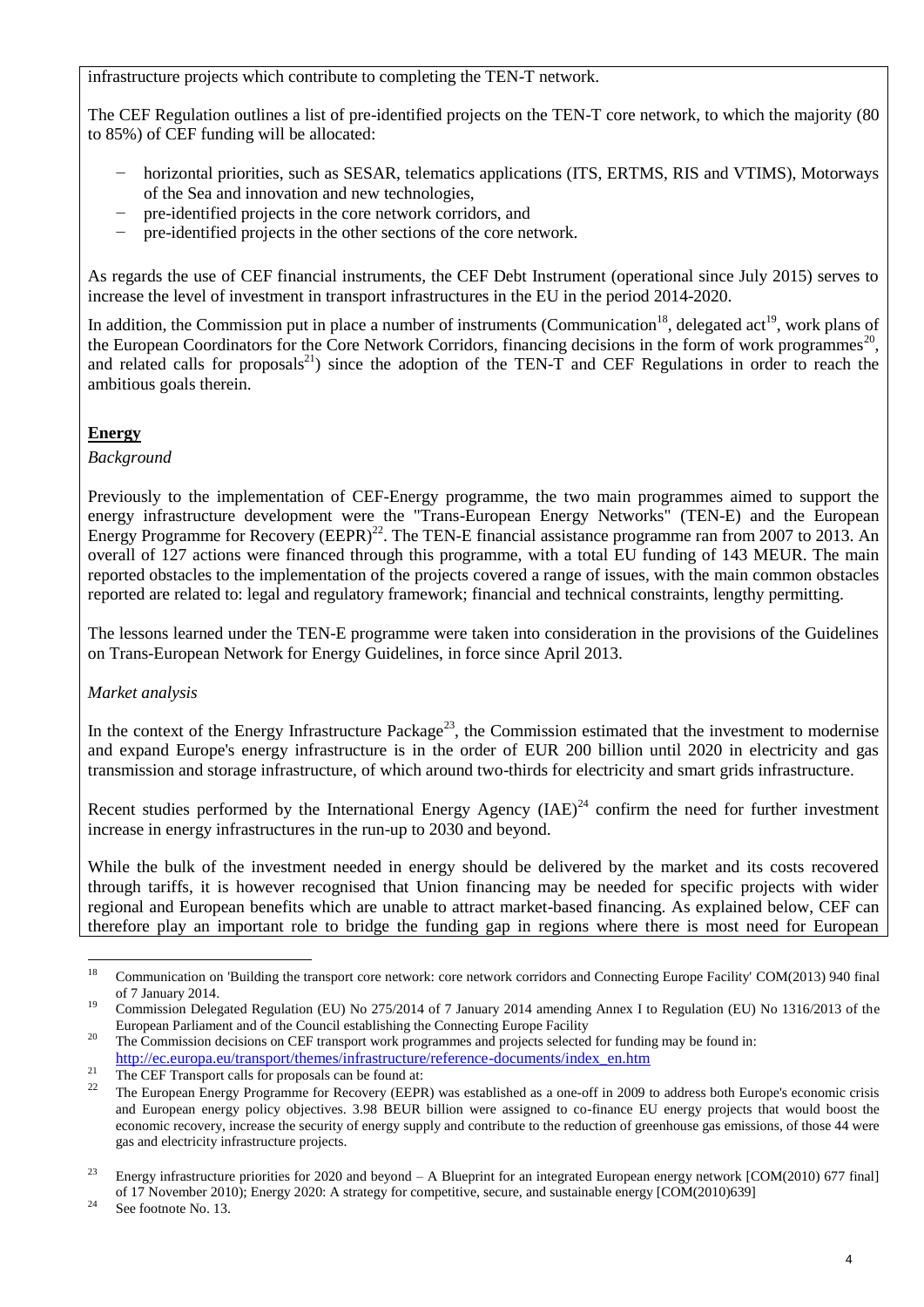infrastructure projects which contribute to completing the TEN-T network.

The CEF Regulation outlines a list of pre-identified projects on the TEN-T core network, to which the majority (80 to 85%) of CEF funding will be allocated:

- horizontal priorities, such as SESAR, telematics applications (ITS, ERTMS, RIS and VTIMS), Motorways of the Sea and innovation and new technologies,
- pre-identified projects in the core network corridors, and
- pre-identified projects in the other sections of the core network.

As regards the use of CEF financial instruments, the CEF Debt Instrument (operational since July 2015) serves to increase the level of investment in transport infrastructures in the EU in the period 2014-2020.

In addition, the Commission put in place a number of instruments (Communication<sup>18</sup>, delegated act<sup>19</sup>, work plans of the European Coordinators for the Core Network Corridors, financing decisions in the form of work programmes<sup>20</sup>, and related calls for proposals<sup>21</sup>) since the adoption of the TEN-T and CEF Regulations in order to reach the ambitious goals therein.

# **Energy**

### *Background*

Previously to the implementation of CEF-Energy programme, the two main programmes aimed to support the energy infrastructure development were the "Trans-European Energy Networks" (TEN-E) and the European Energy Programme for Recovery  $(EEPR)^{22}$ . The TEN-E financial assistance programme ran from 2007 to 2013. An overall of 127 actions were financed through this programme, with a total EU funding of 143 MEUR. The main reported obstacles to the implementation of the projects covered a range of issues, with the main common obstacles reported are related to: legal and regulatory framework; financial and technical constraints, lengthy permitting.

The lessons learned under the TEN-E programme were taken into consideration in the provisions of the Guidelines on Trans-European Network for Energy Guidelines, in force since April 2013.

## *Market analysis*

In the context of the Energy Infrastructure Package<sup>23</sup>, the Commission estimated that the investment to modernise and expand Europe's energy infrastructure is in the order of EUR 200 billion until 2020 in electricity and gas transmission and storage infrastructure, of which around two-thirds for electricity and smart grids infrastructure.

Recent studies performed by the International Energy Agency  $(IAE)^{24}$  confirm the need for further investment increase in energy infrastructures in the run-up to 2030 and beyond.

While the bulk of the investment needed in energy should be delivered by the market and its costs recovered through tariffs, it is however recognised that Union financing may be needed for specific projects with wider regional and European benefits which are unable to attract market-based financing. As explained below, CEF can therefore play an important role to bridge the funding gap in regions where there is most need for European

<sup>18</sup> <sup>18</sup> Communication on 'Building the transport core network: core network corridors and Connecting Europe Facility' COM(2013) 940 final of 7 January 2014.

<sup>&</sup>lt;sup>19</sup> Commission Delegated Regulation (EU) No 275/2014 of 7 January 2014 amending Annex I to Regulation (EU) No 1316/2013 of the European Parliament and of the Council establishing the Connecting Europe Facility

<sup>&</sup>lt;sup>20</sup> The Commission decisions on CEF transport work programmes and projects selected for funding may be found in: [http://ec.europa.eu/transport/themes/infrastructure/reference-documents/index\\_en.htm](http://ec.europa.eu/transport/themes/infrastructure/reference-documents/index_en.htm)

<sup>&</sup>lt;sup>21</sup> The CEF Transport calls for proposals can be found at:

<sup>22</sup> The European Energy Programme for Recovery (EEPR) was established as a one-off in 2009 to address both Europe's economic crisis and European energy policy objectives. 3.98 BEUR billion were assigned to co-finance EU energy projects that would boost the economic recovery, increase the security of energy supply and contribute to the reduction of greenhouse gas emissions, of those 44 were gas and electricity infrastructure projects.

<sup>&</sup>lt;sup>23</sup> Energy infrastructure priorities for 2020 and beyond – A Blueprint for an integrated European energy network  $[COM(2010) 677$  final] of 17 November 2010); Energy 2020: A strategy for competitive, secure, and sustainable energy [COM(2010)639]

 $24$  See footnote No. 13.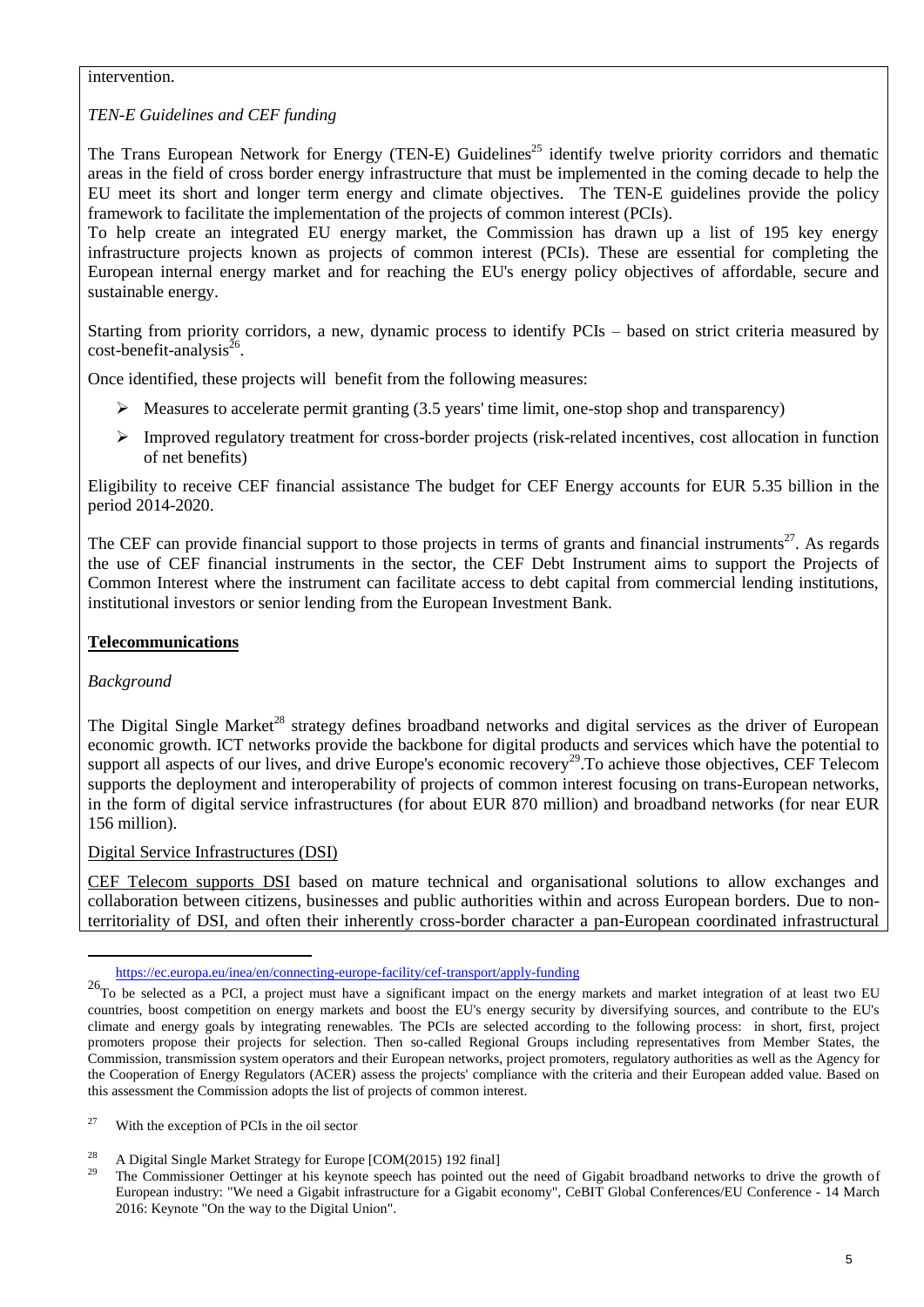#### intervention.

## *TEN-E Guidelines and CEF funding*

The Trans European Network for Energy (TEN-E) Guidelines<sup>25</sup> identify twelve priority corridors and thematic areas in the field of cross border energy infrastructure that must be implemented in the coming decade to help the EU meet its short and longer term energy and climate objectives. The TEN-E guidelines provide the policy framework to facilitate the implementation of the projects of common interest (PCIs).

To help create an integrated EU energy market, the Commission has drawn up a list of 195 key energy infrastructure projects known as projects of common interest (PCIs). These are essential for completing the European internal energy market and for reaching the EU's energy policy objectives of affordable, secure and sustainable energy.

Starting from priority corridors, a new, dynamic process to identify PCIs – based on strict criteria measured by  $cost\text{-}benefit\text{-}analysis^{\text{26}}$ .

Once identified, these projects will benefit from the following measures:

- $\triangleright$  Measures to accelerate permit granting (3.5 years' time limit, one-stop shop and transparency)
- $\triangleright$  Improved regulatory treatment for cross-border projects (risk-related incentives, cost allocation in function of net benefits)

Eligibility to receive CEF financial assistance The budget for CEF Energy accounts for EUR 5.35 billion in the period 2014-2020.

The CEF can provide financial support to those projects in terms of grants and financial instruments<sup>27</sup>. As regards the use of CEF financial instruments in the sector, the CEF Debt Instrument aims to support the Projects of Common Interest where the instrument can facilitate access to debt capital from commercial lending institutions, institutional investors or senior lending from the European Investment Bank.

## **Telecommunications**

*Background* 

1

The Digital Single Market<sup>28</sup> strategy defines broadband networks and digital services as the driver of European economic growth. ICT networks provide the backbone for digital products and services which have the potential to support all aspects of our lives, and drive Europe's economic recovery<sup>29</sup>. To achieve those objectives, CEF Telecom supports the deployment and interoperability of projects of common interest focusing on trans-European networks, in the form of digital service infrastructures (for about EUR 870 million) and broadband networks (for near EUR 156 million).

### Digital Service Infrastructures (DSI)

CEF Telecom supports DSI based on mature technical and organisational solutions to allow exchanges and collaboration between citizens, businesses and public authorities within and across European borders. Due to nonterritoriality of DSI, and often their inherently cross-border character a pan-European coordinated infrastructural

<https://ec.europa.eu/inea/en/connecting-europe-facility/cef-transport/apply-funding>

 $^{26}$ To be selected as a PCI, a project must have a significant impact on the energy markets and market integration of at least two EU countries, boost competition on energy markets and boost the EU's energy security by diversifying sources, and contribute to the EU's climate and energy goals by integrating renewables. The PCIs are selected according to the following process: in short, first, project promoters propose their projects for selection. Then so-called Regional Groups including representatives from Member States, the Commission, transmission system operators and their European networks, project promoters, regulatory authorities as well as the Agency for the Cooperation of Energy Regulators (ACER) assess the projects' compliance with the criteria and their European added value. Based on this assessment the Commission adopts the list of projects of common interest.

<sup>&</sup>lt;sup>27</sup> With the exception of PCIs in the oil sector

<sup>&</sup>lt;sup>28</sup> A Digital Single Market Strategy for Europe [COM(2015) 192 final]

<sup>29</sup> The Commissioner Oettinger at his keynote speech has pointed out the need of Gigabit broadband networks to drive the growth of European industry: "We need a Gigabit infrastructure for a Gigabit economy", CeBIT Global Conferences/EU Conference - 14 March 2016: Keynote "On the way to the Digital Union".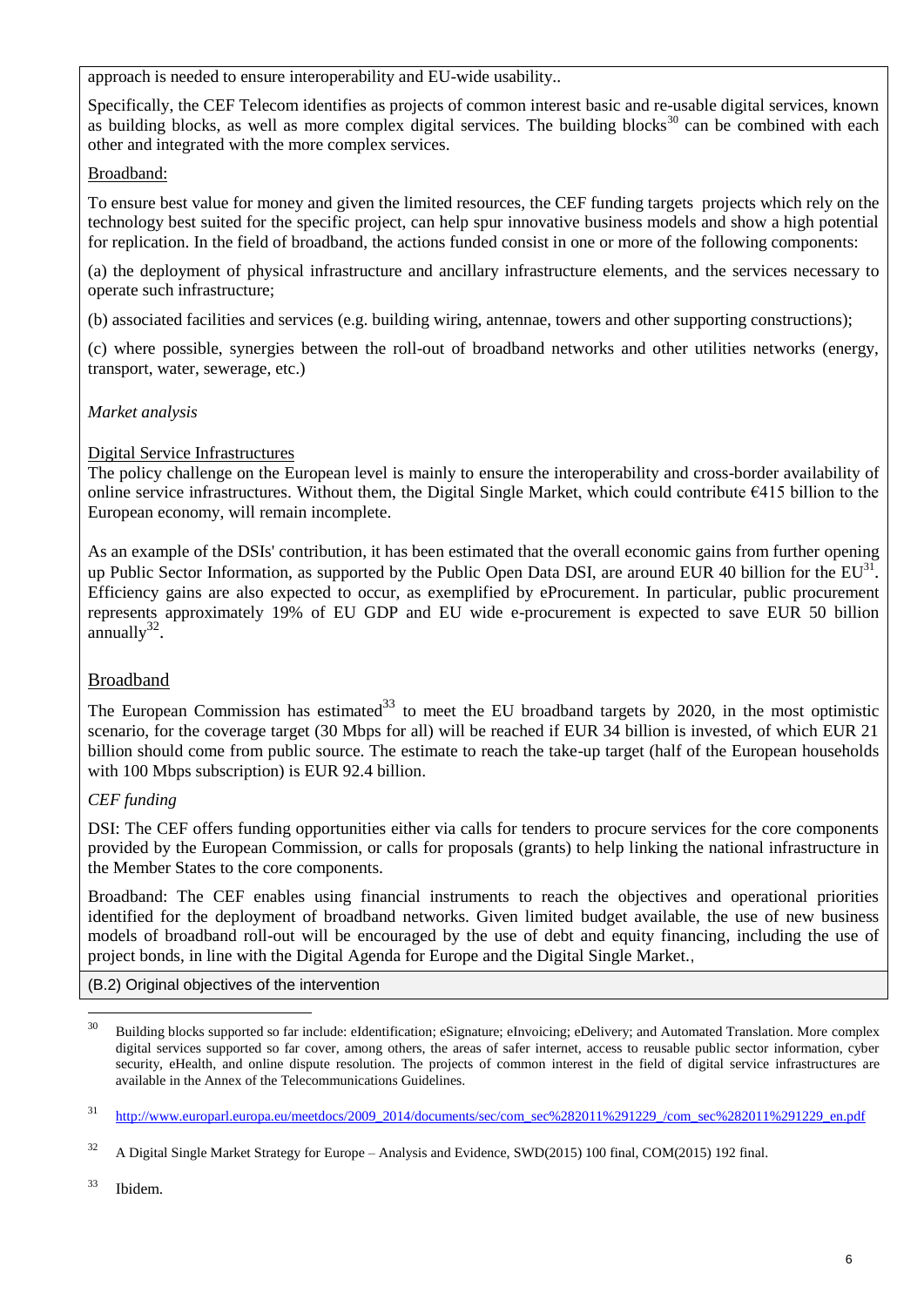approach is needed to ensure interoperability and EU-wide usability..

Specifically, the CEF Telecom identifies as projects of common interest basic and re-usable digital services, known as building blocks, as well as more complex digital services. The building blocks $30$  can be combined with each other and integrated with the more complex services.

## Broadband:

To ensure best value for money and given the limited resources, the CEF funding targets projects which rely on the technology best suited for the specific project, can help spur innovative business models and show a high potential for replication. In the field of broadband, the actions funded consist in one or more of the following components:

(a) the deployment of physical infrastructure and ancillary infrastructure elements, and the services necessary to operate such infrastructure;

(b) associated facilities and services (e.g. building wiring, antennae, towers and other supporting constructions);

(c) where possible, synergies between the roll-out of broadband networks and other utilities networks (energy, transport, water, sewerage, etc.)

# *Market analysis*

# Digital Service Infrastructures

The policy challenge on the European level is mainly to ensure the interoperability and cross-border availability of online service infrastructures. Without them, the Digital Single Market, which could contribute €415 billion to the European economy, will remain incomplete.

As an example of the DSIs' contribution, it has been estimated that the overall economic gains from further opening up Public Sector Information, as supported by the Public Open Data DSI, are around EUR 40 billion for the  $EU^{31}$ . Efficiency gains are also expected to occur, as exemplified by eProcurement. In particular, public procurement represents approximately 19% of EU GDP and EU wide e-procurement is expected to save EUR 50 billion  $annually^{32}$ .

# Broadband

The European Commission has estimated<sup>33</sup> to meet the EU broadband targets by 2020, in the most optimistic scenario, for the coverage target (30 Mbps for all) will be reached if EUR 34 billion is invested, of which EUR 21 billion should come from public source. The estimate to reach the take-up target (half of the European households with 100 Mbps subscription) is EUR 92.4 billion.

## *CEF funding*

DSI: The CEF offers funding opportunities either via calls for tenders to procure services for the core components provided by the European Commission, or calls for proposals (grants) to help linking the national infrastructure in the Member States to the core components.

Broadband: The CEF enables using financial instruments to reach the objectives and operational priorities identified for the deployment of broadband networks. Given limited budget available, the use of new business models of broadband roll-out will be encouraged by the use of debt and equity financing, including the use of project bonds, in line with the Digital Agenda for Europe and the Digital Single Market.,

(B.2) Original objectives of the intervention

<sup>30</sup> <sup>30</sup> Building blocks supported so far include: eIdentification; eSignature; eInvoicing; eDelivery; and Automated Translation. More complex digital services supported so far cover, among others, the areas of safer internet, access to reusable public sector information, cyber security, eHealth, and online dispute resolution. The projects of common interest in the field of digital service infrastructures are available in the Annex of the Telecommunications Guidelines.

 $31$  [http://www.europarl.europa.eu/meetdocs/2009\\_2014/documents/sec/com\\_sec%282011%291229\\_/com\\_sec%282011%291229\\_en.pdf](http://www.europarl.europa.eu/meetdocs/2009_2014/documents/sec/com_sec%282011%291229_/com_sec%282011%291229_en.pdf)

<sup>&</sup>lt;sup>32</sup> A Digital Single Market Strategy for Europe – Analysis and Evidence, SWD(2015) 100 final, COM(2015) 192 final.

<sup>33</sup> Ibidem.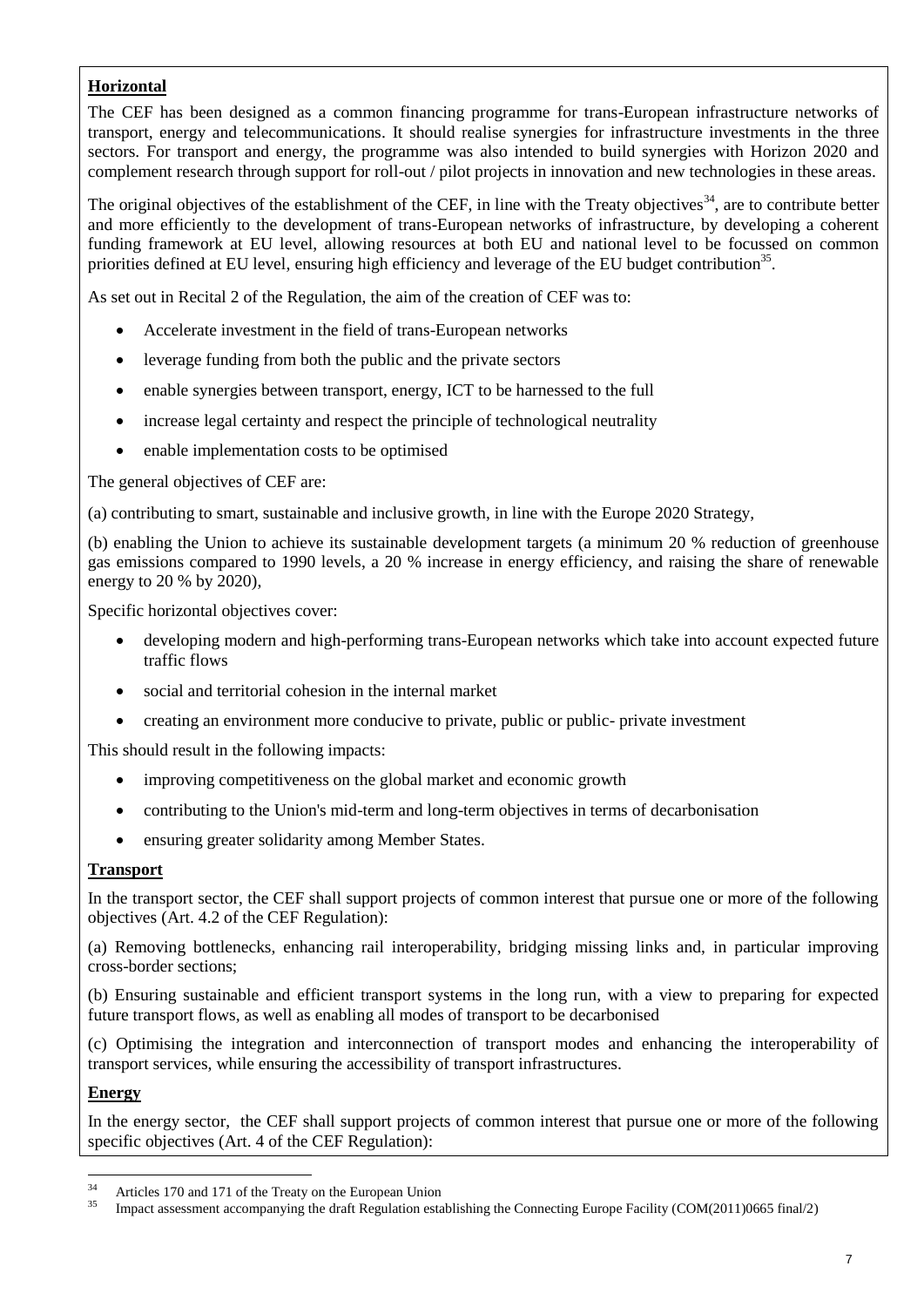# **Horizontal**

The CEF has been designed as a common financing programme for trans-European infrastructure networks of transport, energy and telecommunications. It should realise synergies for infrastructure investments in the three sectors. For transport and energy, the programme was also intended to build synergies with Horizon 2020 and complement research through support for roll-out / pilot projects in innovation and new technologies in these areas.

The original objectives of the establishment of the CEF, in line with the Treaty objectives<sup>34</sup>, are to contribute better and more efficiently to the development of trans-European networks of infrastructure, by developing a coherent funding framework at EU level, allowing resources at both EU and national level to be focussed on common priorities defined at EU level, ensuring high efficiency and leverage of the EU budget contribution<sup>35</sup>.

As set out in Recital 2 of the Regulation, the aim of the creation of CEF was to:

- Accelerate investment in the field of trans-European networks
- leverage funding from both the public and the private sectors
- enable synergies between transport, energy, ICT to be harnessed to the full
- increase legal certainty and respect the principle of technological neutrality
- enable implementation costs to be optimised

The general objectives of CEF are:

(a) contributing to smart, sustainable and inclusive growth, in line with the Europe 2020 Strategy,

(b) enabling the Union to achieve its sustainable development targets (a minimum 20 % reduction of greenhouse gas emissions compared to 1990 levels, a 20 % increase in energy efficiency, and raising the share of renewable energy to 20 % by 2020),

Specific horizontal objectives cover:

- developing modern and high-performing trans-European networks which take into account expected future traffic flows
- social and territorial cohesion in the internal market
- creating an environment more conducive to private, public or public- private investment

This should result in the following impacts:

- improving competitiveness on the global market and economic growth
- contributing to the Union's mid-term and long-term objectives in terms of decarbonisation
- ensuring greater solidarity among Member States.

### **Transport**

In the transport sector, the CEF shall support projects of common interest that pursue one or more of the following objectives (Art. 4.2 of the CEF Regulation):

(a) Removing bottlenecks, enhancing rail interoperability, bridging missing links and, in particular improving cross-border sections;

(b) Ensuring sustainable and efficient transport systems in the long run, with a view to preparing for expected future transport flows, as well as enabling all modes of transport to be decarbonised

(c) Optimising the integration and interconnection of transport modes and enhancing the interoperability of transport services, while ensuring the accessibility of transport infrastructures.

### **Energy**

In the energy sector, the CEF shall support projects of common interest that pursue one or more of the following specific objectives (Art. 4 of the CEF Regulation):

 $34$  $34$  Articles 170 and 171 of the Treaty on the European Union

<sup>35</sup> Impact assessment accompanying the draft Regulation establishing the Connecting Europe Facility (COM(2011)0665 final/2)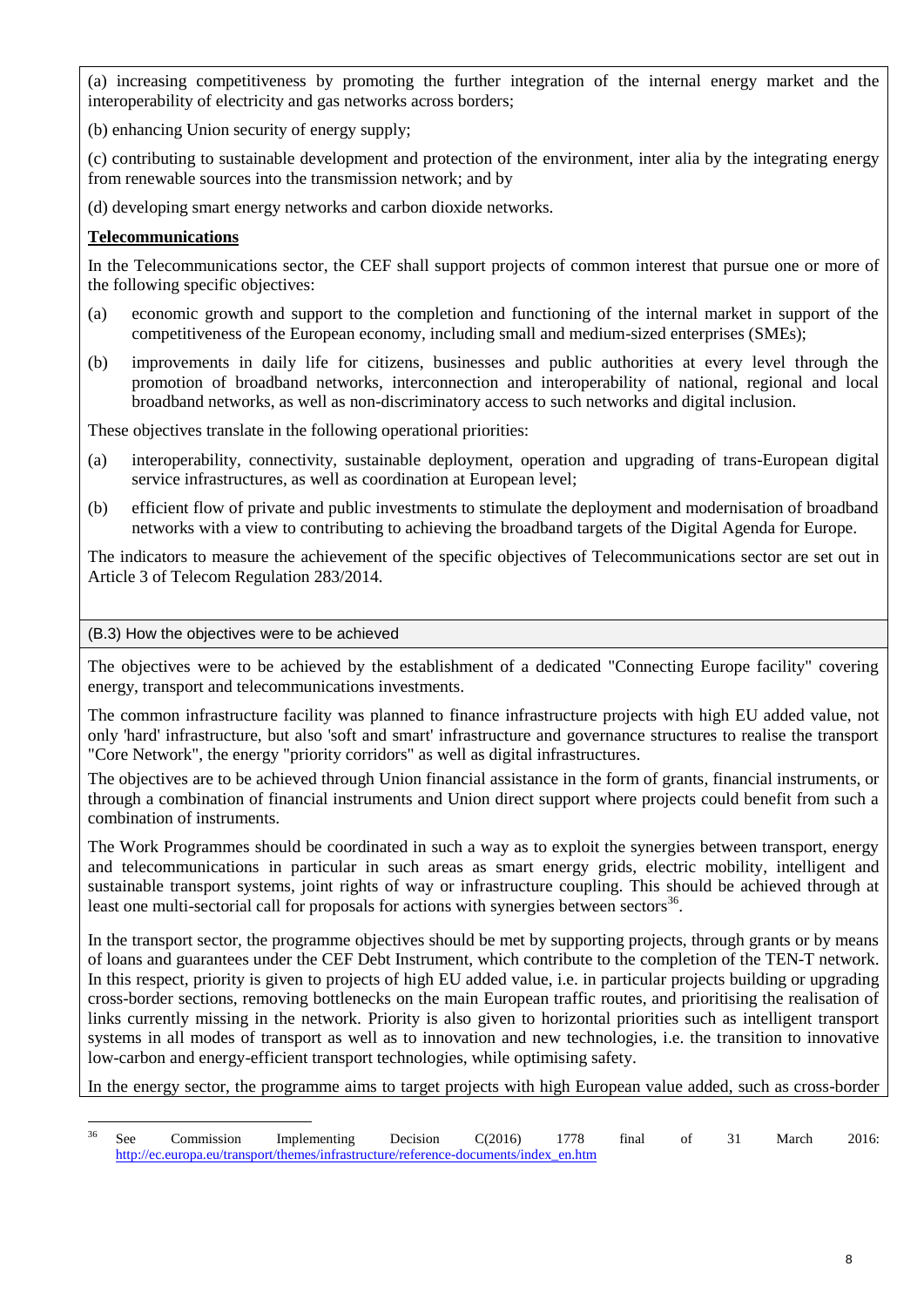(a) increasing competitiveness by promoting the further integration of the internal energy market and the interoperability of electricity and gas networks across borders;

(b) enhancing Union security of energy supply;

(c) contributing to sustainable development and protection of the environment, inter alia by the integrating energy from renewable sources into the transmission network; and by

(d) developing smart energy networks and carbon dioxide networks.

# **Telecommunications**

In the Telecommunications sector, the CEF shall support projects of common interest that pursue one or more of the following specific objectives:

- (a) economic growth and support to the completion and functioning of the internal market in support of the competitiveness of the European economy, including small and medium-sized enterprises (SMEs);
- (b) improvements in daily life for citizens, businesses and public authorities at every level through the promotion of broadband networks, interconnection and interoperability of national, regional and local broadband networks, as well as non-discriminatory access to such networks and digital inclusion.

These objectives translate in the following operational priorities:

- (a) interoperability, connectivity, sustainable deployment, operation and upgrading of trans-European digital service infrastructures, as well as coordination at European level;
- (b) efficient flow of private and public investments to stimulate the deployment and modernisation of broadband networks with a view to contributing to achieving the broadband targets of the Digital Agenda for Europe.

The indicators to measure the achievement of the specific objectives of Telecommunications sector are set out in Article 3 of Telecom Regulation 283/2014.

### (B.3) How the objectives were to be achieved

The objectives were to be achieved by the establishment of a dedicated "Connecting Europe facility" covering energy, transport and telecommunications investments.

The common infrastructure facility was planned to finance infrastructure projects with high EU added value, not only 'hard' infrastructure, but also 'soft and smart' infrastructure and governance structures to realise the transport "Core Network", the energy "priority corridors" as well as digital infrastructures.

The objectives are to be achieved through Union financial assistance in the form of grants, financial instruments, or through a combination of financial instruments and Union direct support where projects could benefit from such a combination of instruments.

The Work Programmes should be coordinated in such a way as to exploit the synergies between transport, energy and telecommunications in particular in such areas as smart energy grids, electric mobility, intelligent and sustainable transport systems, joint rights of way or infrastructure coupling. This should be achieved through at least one multi-sectorial call for proposals for actions with synergies between sectors<sup>36</sup>.

In the transport sector, the programme objectives should be met by supporting projects, through grants or by means of loans and guarantees under the CEF Debt Instrument, which contribute to the completion of the TEN-T network. In this respect, priority is given to projects of high EU added value, i.e. in particular projects building or upgrading cross-border sections, removing bottlenecks on the main European traffic routes, and prioritising the realisation of links currently missing in the network. Priority is also given to horizontal priorities such as intelligent transport systems in all modes of transport as well as to innovation and new technologies, i.e. the transition to innovative low-carbon and energy-efficient transport technologies, while optimising safety.

In the energy sector, the programme aims to target projects with high European value added, such as cross-border

 $36$ <sup>36</sup> See Commission Implementing Decision C(2016) 1778 final of 31 March 2016: [http://ec.europa.eu/transport/themes/infrastructure/reference-documents/index\\_en.htm](http://ec.europa.eu/transport/themes/infrastructure/reference-documents/index_en.htm)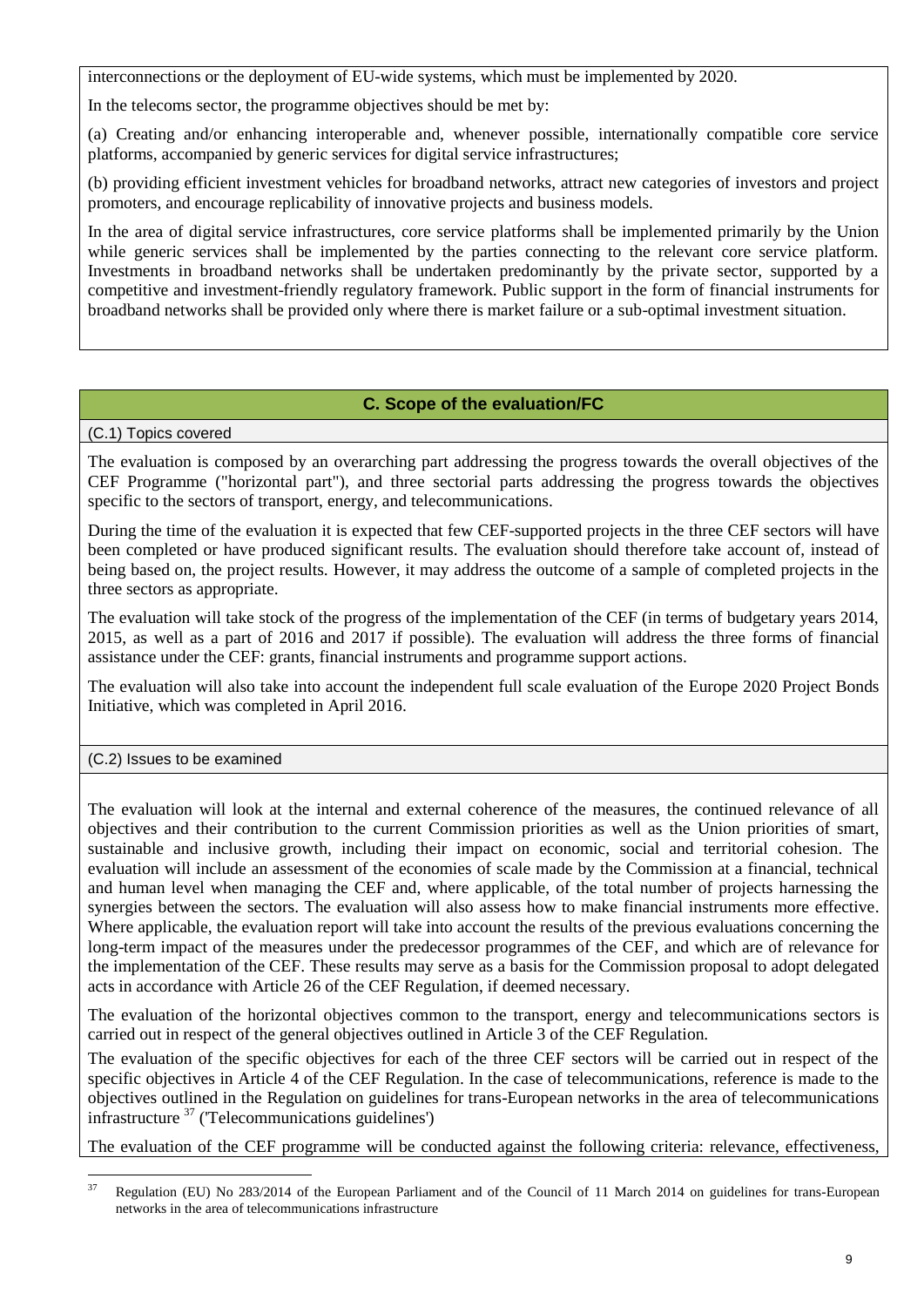interconnections or the deployment of EU-wide systems, which must be implemented by 2020.

In the telecoms sector, the programme objectives should be met by:

(a) Creating and/or enhancing interoperable and, whenever possible, internationally compatible core service platforms, accompanied by generic services for digital service infrastructures;

(b) providing efficient investment vehicles for broadband networks, attract new categories of investors and project promoters, and encourage replicability of innovative projects and business models.

In the area of digital service infrastructures, core service platforms shall be implemented primarily by the Union while generic services shall be implemented by the parties connecting to the relevant core service platform. Investments in broadband networks shall be undertaken predominantly by the private sector, supported by a competitive and investment-friendly regulatory framework. Public support in the form of financial instruments for broadband networks shall be provided only where there is market failure or a sub-optimal investment situation.

# **C. Scope of the evaluation/FC**

(C.1) Topics covered

The evaluation is composed by an overarching part addressing the progress towards the overall objectives of the CEF Programme ("horizontal part"), and three sectorial parts addressing the progress towards the objectives specific to the sectors of transport, energy, and telecommunications.

During the time of the evaluation it is expected that few CEF-supported projects in the three CEF sectors will have been completed or have produced significant results. The evaluation should therefore take account of, instead of being based on, the project results. However, it may address the outcome of a sample of completed projects in the three sectors as appropriate.

The evaluation will take stock of the progress of the implementation of the CEF (in terms of budgetary years 2014, 2015, as well as a part of 2016 and 2017 if possible). The evaluation will address the three forms of financial assistance under the CEF: grants, financial instruments and programme support actions.

The evaluation will also take into account the independent full scale evaluation of the Europe 2020 Project Bonds Initiative, which was completed in April 2016.

(C.2) Issues to be examined

The evaluation will look at the internal and external coherence of the measures, the continued relevance of all objectives and their contribution to the current Commission priorities as well as the Union priorities of smart, sustainable and inclusive growth, including their impact on economic, social and territorial cohesion. The evaluation will include an assessment of the economies of scale made by the Commission at a financial, technical and human level when managing the CEF and, where applicable, of the total number of projects harnessing the synergies between the sectors. The evaluation will also assess how to make financial instruments more effective. Where applicable, the evaluation report will take into account the results of the previous evaluations concerning the long-term impact of the measures under the predecessor programmes of the CEF, and which are of relevance for the implementation of the CEF. These results may serve as a basis for the Commission proposal to adopt delegated acts in accordance with Article 26 of the CEF Regulation, if deemed necessary.

The evaluation of the horizontal objectives common to the transport, energy and telecommunications sectors is carried out in respect of the general objectives outlined in Article 3 of the CEF Regulation.

The evaluation of the specific objectives for each of the three CEF sectors will be carried out in respect of the specific objectives in Article 4 of the CEF Regulation. In the case of telecommunications, reference is made to the objectives outlined in the Regulation on guidelines for trans-European networks in the area of telecommunications infrastructure  $37$  (Telecommunications guidelines')

The evaluation of the CEF programme will be conducted against the following criteria: relevance, effectiveness,

<sup>37</sup> <sup>37</sup> Regulation (EU) No 283/2014 of the European Parliament and of the Council of 11 March 2014 on guidelines for trans-European networks in the area of telecommunications infrastructure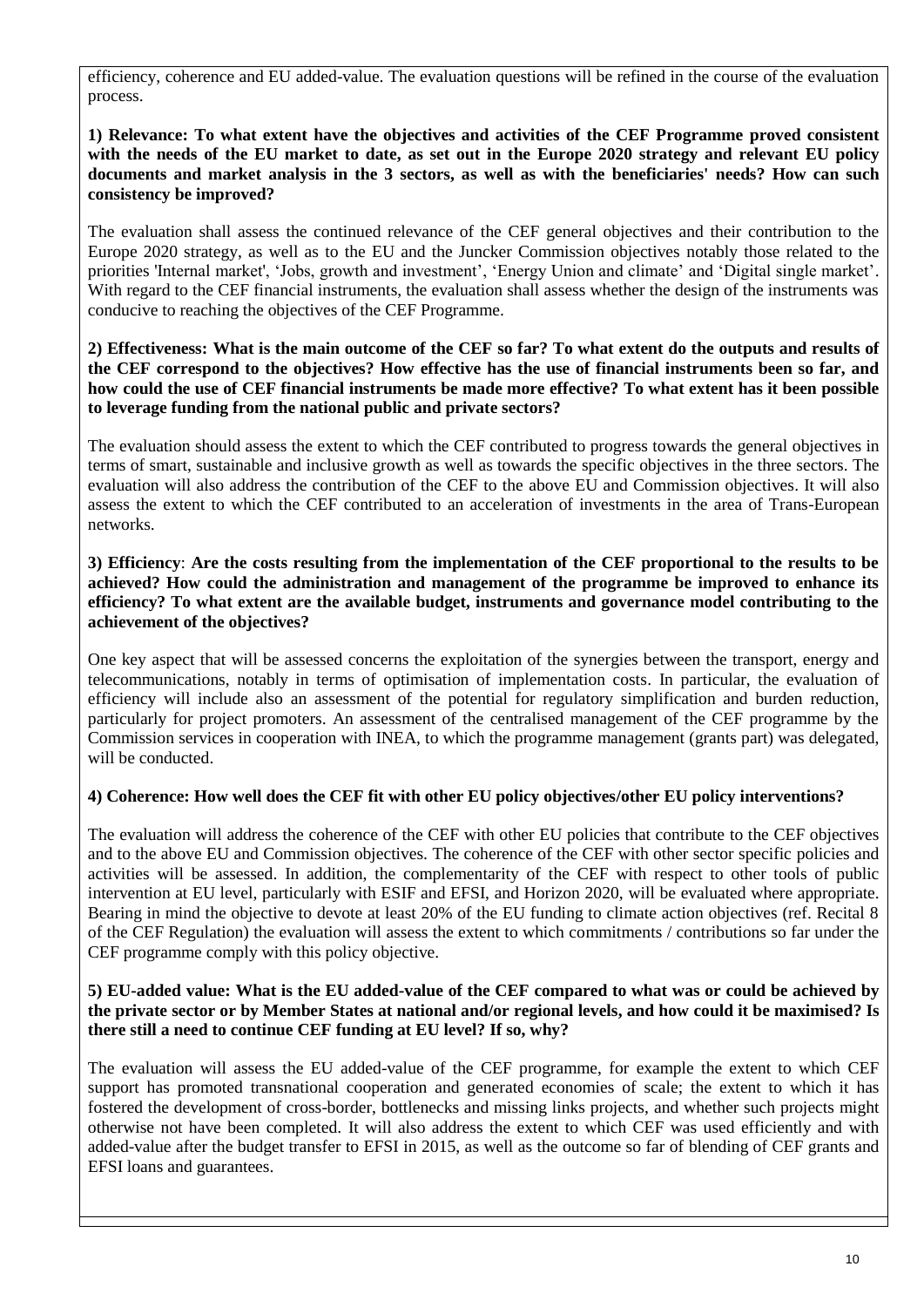efficiency, coherence and EU added-value. The evaluation questions will be refined in the course of the evaluation process.

### **1) Relevance: To what extent have the objectives and activities of the CEF Programme proved consistent with the needs of the EU market to date, as set out in the Europe 2020 strategy and relevant EU policy documents and market analysis in the 3 sectors, as well as with the beneficiaries' needs? How can such consistency be improved?**

The evaluation shall assess the continued relevance of the CEF general objectives and their contribution to the Europe 2020 strategy, as well as to the EU and the Juncker Commission objectives notably those related to the priorities 'Internal market', 'Jobs, growth and investment', 'Energy Union and climate' and 'Digital single market'. With regard to the CEF financial instruments, the evaluation shall assess whether the design of the instruments was conducive to reaching the objectives of the CEF Programme.

### **2) Effectiveness: What is the main outcome of the CEF so far? To what extent do the outputs and results of the CEF correspond to the objectives? How effective has the use of financial instruments been so far, and how could the use of CEF financial instruments be made more effective? To what extent has it been possible to leverage funding from the national public and private sectors?**

The evaluation should assess the extent to which the CEF contributed to progress towards the general objectives in terms of smart, sustainable and inclusive growth as well as towards the specific objectives in the three sectors. The evaluation will also address the contribution of the CEF to the above EU and Commission objectives. It will also assess the extent to which the CEF contributed to an acceleration of investments in the area of Trans-European networks.

### **3) Efficiency**: **Are the costs resulting from the implementation of the CEF proportional to the results to be achieved? How could the administration and management of the programme be improved to enhance its efficiency? To what extent are the available budget, instruments and governance model contributing to the achievement of the objectives?**

One key aspect that will be assessed concerns the exploitation of the synergies between the transport, energy and telecommunications, notably in terms of optimisation of implementation costs. In particular, the evaluation of efficiency will include also an assessment of the potential for regulatory simplification and burden reduction, particularly for project promoters. An assessment of the centralised management of the CEF programme by the Commission services in cooperation with INEA, to which the programme management (grants part) was delegated, will be conducted.

## **4) Coherence: How well does the CEF fit with other EU policy objectives/other EU policy interventions?**

The evaluation will address the coherence of the CEF with other EU policies that contribute to the CEF objectives and to the above EU and Commission objectives. The coherence of the CEF with other sector specific policies and activities will be assessed. In addition, the complementarity of the CEF with respect to other tools of public intervention at EU level, particularly with ESIF and EFSI, and Horizon 2020, will be evaluated where appropriate. Bearing in mind the objective to devote at least 20% of the EU funding to climate action objectives (ref. Recital 8 of the CEF Regulation) the evaluation will assess the extent to which commitments / contributions so far under the CEF programme comply with this policy objective.

### **5) EU-added value: What is the EU added-value of the CEF compared to what was or could be achieved by the private sector or by Member States at national and/or regional levels, and how could it be maximised? Is there still a need to continue CEF funding at EU level? If so, why?**

The evaluation will assess the EU added-value of the CEF programme, for example the extent to which CEF support has promoted transnational cooperation and generated economies of scale; the extent to which it has fostered the development of cross-border, bottlenecks and missing links projects, and whether such projects might otherwise not have been completed. It will also address the extent to which CEF was used efficiently and with added-value after the budget transfer to EFSI in 2015, as well as the outcome so far of blending of CEF grants and EFSI loans and guarantees.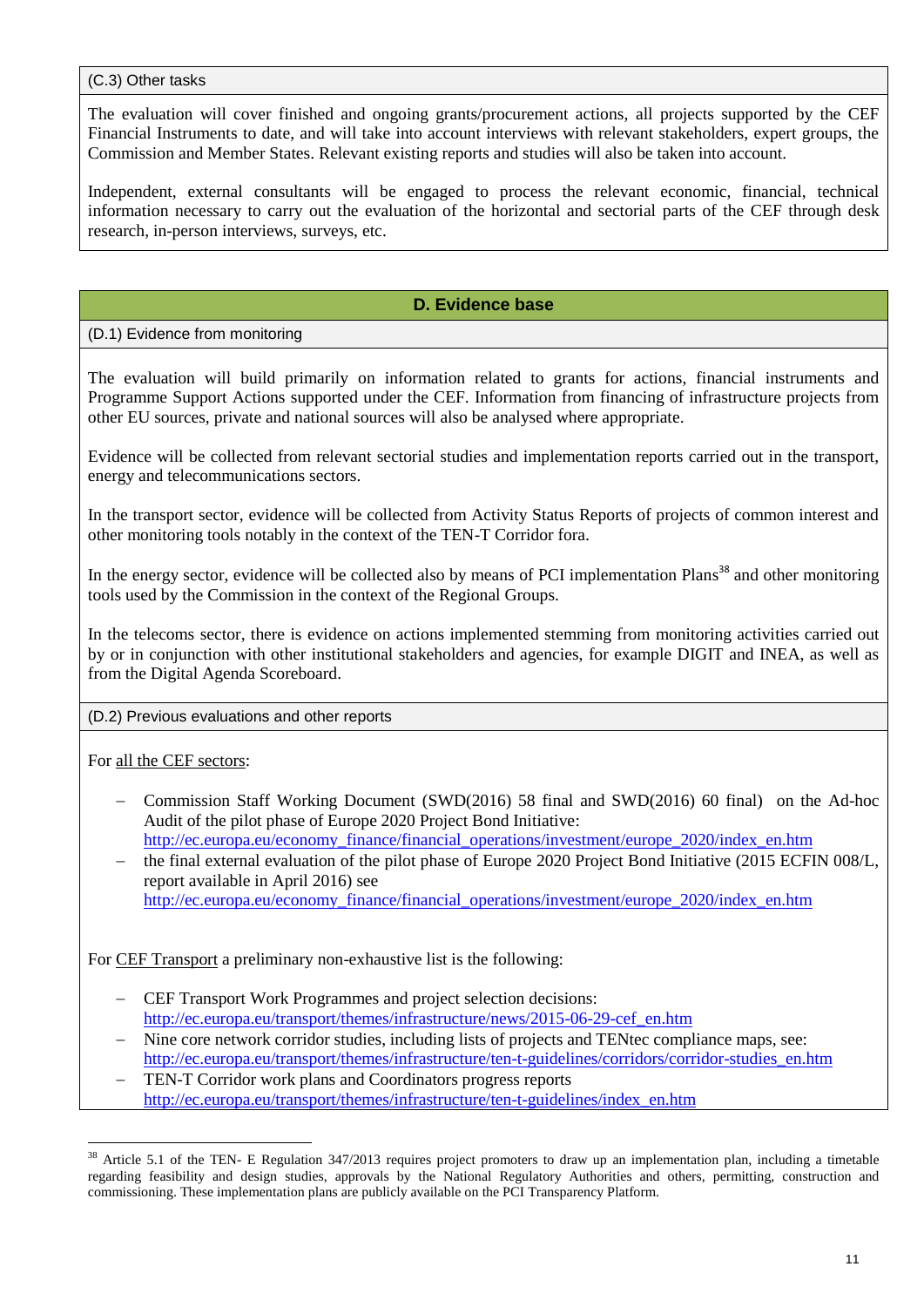(C.3) Other tasks

The evaluation will cover finished and ongoing grants/procurement actions, all projects supported by the CEF Financial Instruments to date, and will take into account interviews with relevant stakeholders, expert groups, the Commission and Member States. Relevant existing reports and studies will also be taken into account.

Independent, external consultants will be engaged to process the relevant economic, financial, technical information necessary to carry out the evaluation of the horizontal and sectorial parts of the CEF through desk research, in-person interviews, surveys, etc.

# **D. Evidence base**

## (D.1) Evidence from monitoring

The evaluation will build primarily on information related to grants for actions, financial instruments and Programme Support Actions supported under the CEF. Information from financing of infrastructure projects from other EU sources, private and national sources will also be analysed where appropriate.

Evidence will be collected from relevant sectorial studies and implementation reports carried out in the transport, energy and telecommunications sectors.

In the transport sector, evidence will be collected from Activity Status Reports of projects of common interest and other monitoring tools notably in the context of the TEN-T Corridor fora.

In the energy sector, evidence will be collected also by means of PCI implementation Plans<sup>38</sup> and other monitoring tools used by the Commission in the context of the Regional Groups.

In the telecoms sector, there is evidence on actions implemented stemming from monitoring activities carried out by or in conjunction with other institutional stakeholders and agencies, for example DIGIT and INEA, as well as from the Digital Agenda Scoreboard.

(D.2) Previous evaluations and other reports

For all the CEF sectors:

<u>.</u>

- Commission Staff Working Document (SWD(2016) 58 final and SWD(2016) 60 final) on the Ad-hoc Audit of the pilot phase of Europe 2020 Project Bond Initiative: [http://ec.europa.eu/economy\\_finance/financial\\_operations/investment/europe\\_2020/index\\_en.htm](http://ec.europa.eu/economy_finance/financial_operations/investment/europe_2020/index_en.htm)
- the final external evaluation of the pilot phase of Europe 2020 Project Bond Initiative (2015 ECFIN 008/L, report available in April 2016) see [http://ec.europa.eu/economy\\_finance/financial\\_operations/investment/europe\\_2020/index\\_en.htm](http://ec.europa.eu/economy_finance/financial_operations/investment/europe_2020/index_en.htm)

For CEF Transport a preliminary non-exhaustive list is the following:

- CEF Transport Work Programmes and project selection decisions: [http://ec.europa.eu/transport/themes/infrastructure/news/2015-06-29-cef\\_en.htm](http://ec.europa.eu/transport/themes/infrastructure/news/2015-06-29-cef_en.htm)
- Nine core network corridor studies, including lists of projects and TENtec compliance maps, see: [http://ec.europa.eu/transport/themes/infrastructure/ten-t-guidelines/corridors/corridor-studies\\_en.htm](http://ec.europa.eu/transport/themes/infrastructure/ten-t-guidelines/corridors/corridor-studies_en.htm)
- TEN-T Corridor work plans and Coordinators progress reports [http://ec.europa.eu/transport/themes/infrastructure/ten-t-guidelines/index\\_en.htm](http://ec.europa.eu/transport/themes/infrastructure/ten-t-guidelines/index_en.htm)

<sup>&</sup>lt;sup>38</sup> Article 5.1 of the TEN- E Regulation 347/2013 requires project promoters to draw up an implementation plan, including a timetable regarding feasibility and design studies, approvals by the National Regulatory Authorities and others, permitting, construction and commissioning. These implementation plans are publicly available on the PCI Transparency Platform.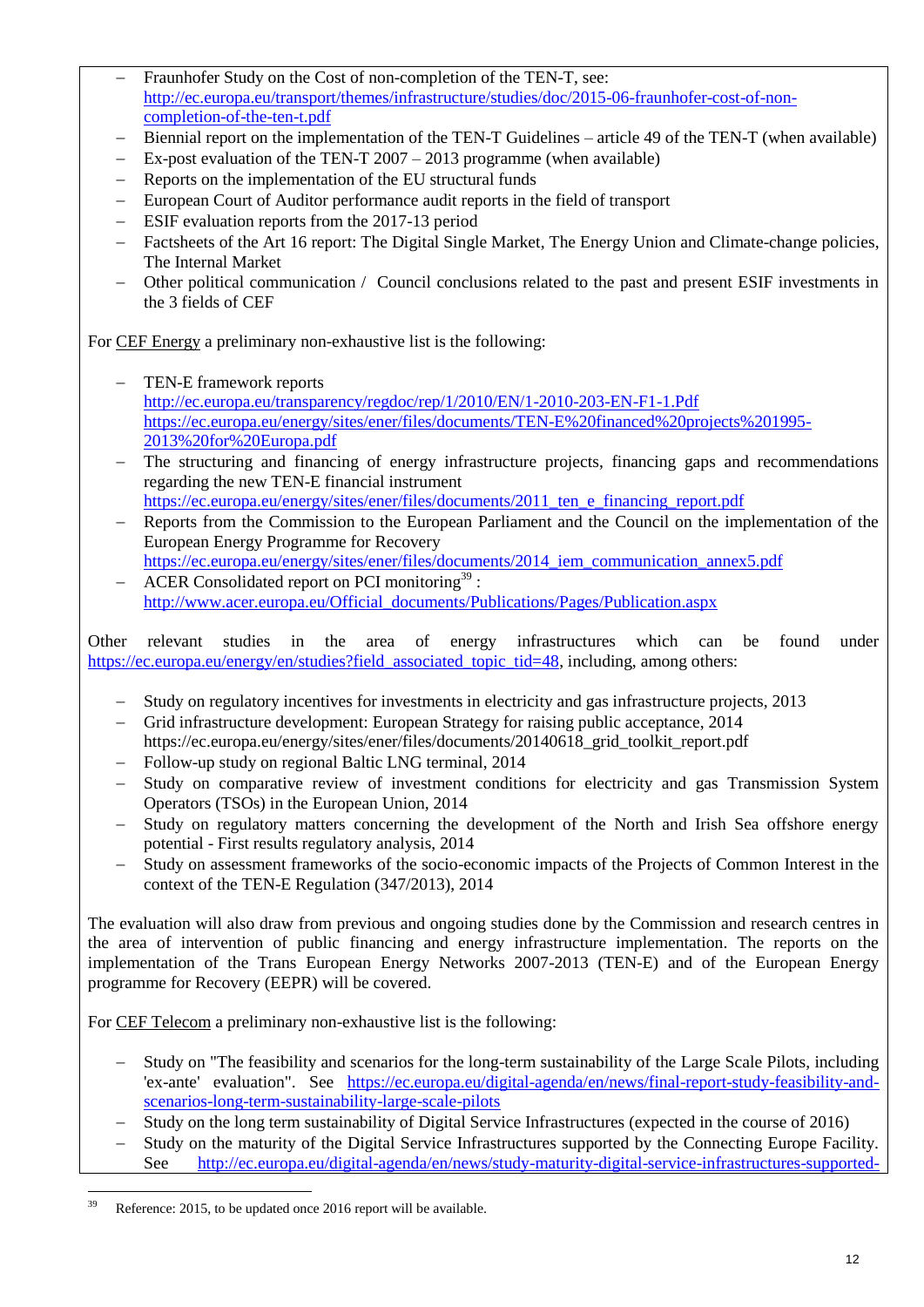- Fraunhofer Study on the Cost of non-completion of the TEN-T, see: [http://ec.europa.eu/transport/themes/infrastructure/studies/doc/2015-06-fraunhofer-cost-of-non](http://ec.europa.eu/transport/themes/infrastructure/studies/doc/2015-06-fraunhofer-cost-of-non-completion-of-the-ten-t.pdf)[completion-of-the-ten-t.pdf](http://ec.europa.eu/transport/themes/infrastructure/studies/doc/2015-06-fraunhofer-cost-of-non-completion-of-the-ten-t.pdf)
- Biennial report on the implementation of the TEN-T Guidelines article 49 of the TEN-T (when available)
- Ex-post evaluation of the TEN-T 2007 2013 programme (when available)
- Reports on the implementation of the EU structural funds
- European Court of Auditor performance audit reports in the field of transport
- ESIF evaluation reports from the 2017-13 period
- Factsheets of the Art 16 report: The Digital Single Market, The Energy Union and Climate-change policies, The Internal Market
- Other political communication / Council conclusions related to the past and present ESIF investments in the 3 fields of CEF

For CEF Energy a preliminary non-exhaustive list is the following:

- TEN-E framework reports <http://ec.europa.eu/transparency/regdoc/rep/1/2010/EN/1-2010-203-EN-F1-1.Pdf> [https://ec.europa.eu/energy/sites/ener/files/documents/TEN-E%20financed%20projects%201995-](https://ec.europa.eu/energy/sites/ener/files/documents/TEN-E%20financed%20projects%201995-2013%20for%20Europa.pdf) [2013%20for%20Europa.pdf](https://ec.europa.eu/energy/sites/ener/files/documents/TEN-E%20financed%20projects%201995-2013%20for%20Europa.pdf)
- The structuring and financing of energy infrastructure projects, financing gaps and recommendations regarding the new TEN-E financial instrument [https://ec.europa.eu/energy/sites/ener/files/documents/2011\\_ten\\_e\\_financing\\_report.pdf](https://ec.europa.eu/energy/sites/ener/files/documents/2011_ten_e_financing_report.pdf)
- Reports from the Commission to the European Parliament and the Council on the implementation of the European Energy Programme for Recovery [https://ec.europa.eu/energy/sites/ener/files/documents/2014\\_iem\\_communication\\_annex5.pdf](https://ec.europa.eu/energy/sites/ener/files/documents/2014_iem_communication_annex5.pdf)
- ACER Consolidated report on PCI monitoring $39$ : [http://www.acer.europa.eu/Official\\_documents/Publications/Pages/Publication.aspx](http://www.acer.europa.eu/Official_documents/Publications/Pages/Publication.aspx)

Other relevant studies in the area of energy infrastructures which can be found under [https://ec.europa.eu/energy/en/studies?field\\_associated\\_topic\\_tid=48,](https://ec.europa.eu/energy/en/studies?field_associated_topic_tid=48) including, among others:

- Study on regulatory incentives for investments in electricity and gas infrastructure projects, 2013
- Grid infrastructure development: European Strategy for raising public acceptance, 2014 https://ec.europa.eu/energy/sites/ener/files/documents/20140618 grid toolkit\_report.pdf
- Follow-up study on regional Baltic LNG terminal, 2014
- Study on comparative review of investment conditions for electricity and gas Transmission System Operators (TSOs) in the European Union, 2014
- Study on regulatory matters concerning the development of the North and Irish Sea offshore energy potential - First results regulatory analysis, 2014
- Study on assessment frameworks of the socio-economic impacts of the Projects of Common Interest in the context of the TEN-E Regulation (347/2013), 2014

The evaluation will also draw from previous and ongoing studies done by the Commission and research centres in the area of intervention of public financing and energy infrastructure implementation. The reports on the implementation of the Trans European Energy Networks 2007-2013 (TEN-E) and of the European Energy programme for Recovery (EEPR) will be covered.

For CEF Telecom a preliminary non-exhaustive list is the following:

- Study on "The feasibility and scenarios for the long-term sustainability of the Large Scale Pilots, including 'ex-ante' evaluation". See https://ec.europa.eu/digital-agenda/en/news/final-report-study-feasibility-andscenarios-long-term-sustainability-large-scale-pilots
- Study on the long term sustainability of Digital Service Infrastructures (expected in the course of 2016)
- Study on the maturity of the Digital Service Infrastructures supported by the Connecting Europe Facility. See http://ec.europa.eu/digital-agenda/en/news/study-maturity-digital-service-infrastructures-supported-

<sup>39</sup> Reference: 2015, to be updated once 2016 report will be available.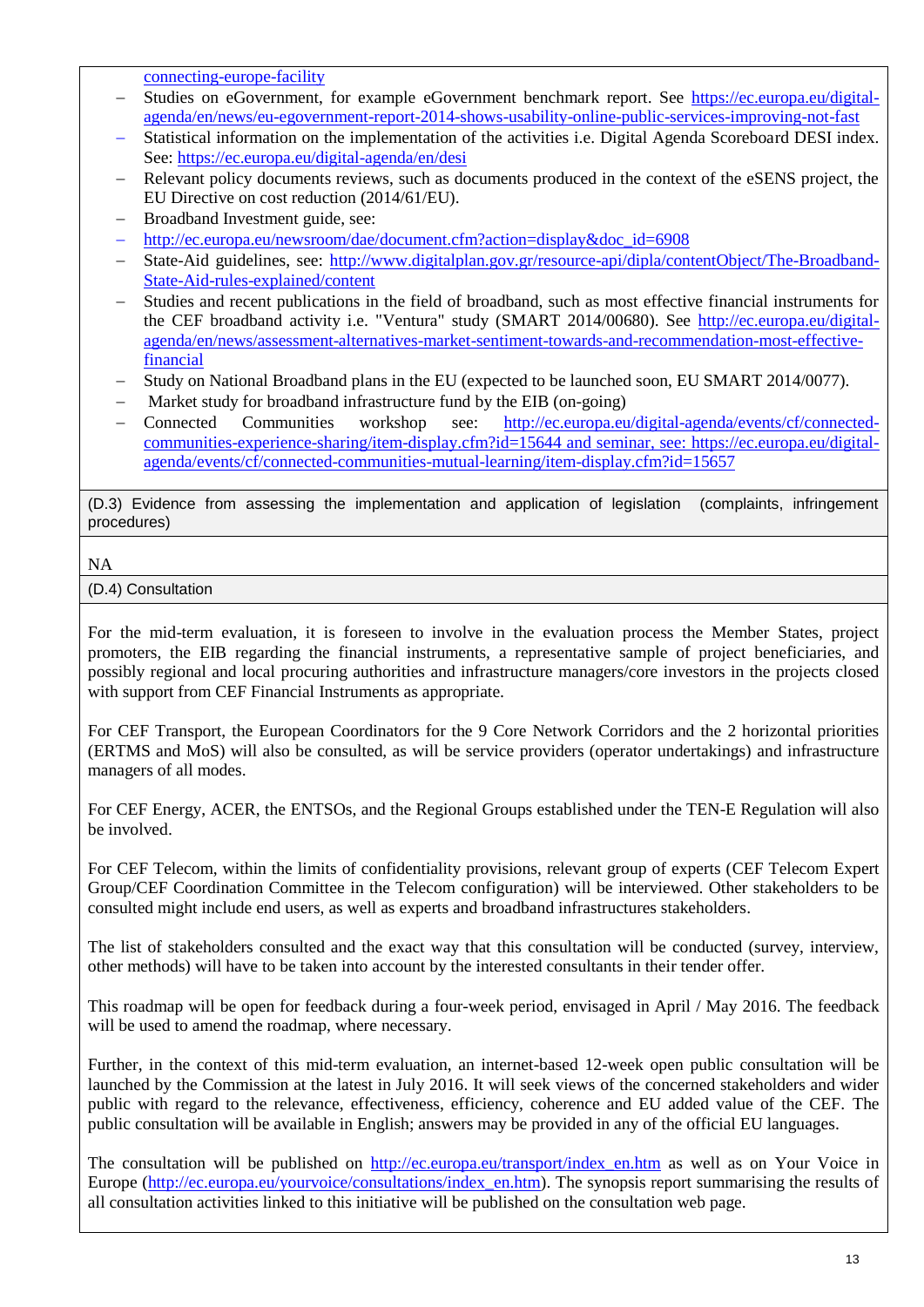connecting-europe-facility

- Studies on eGovernment, for example eGovernment benchmark report. See https://ec.europa.eu/digitalagenda/en/news/eu-egovernment-report-2014-shows-usability-online-public-services-improving-not-fast
- Statistical information on the implementation of the activities i.e. Digital Agenda Scoreboard DESI index. See:<https://ec.europa.eu/digital-agenda/en/desi>
- Relevant policy documents reviews, such as documents produced in the context of the eSENS project, the EU Directive on cost reduction (2014/61/EU).
- Broadband Investment guide, see:
- http://ec.europa.eu/newsroom/dae/document.cfm?action=display&doc\_id=6908
- State-Aid guidelines, see: [http://www.digitalplan.gov.gr/resource-api/dipla/contentObject/The-Broadband-](http://www.digitalplan.gov.gr/resource-api/dipla/contentObject/The-Broadband-State-Aid-rules-explained/content)[State-Aid-rules-explained/content](http://www.digitalplan.gov.gr/resource-api/dipla/contentObject/The-Broadband-State-Aid-rules-explained/content)
- Studies and recent publications in the field of broadband, such as most effective financial instruments for the CEF broadband activity i.e. "Ventura" study (SMART 2014/00680). See [http://ec.europa.eu/digital](http://ec.europa.eu/digital-agenda/en/news/assessment-alternatives-market-sentiment-towards-and-recommendation-most-effective-financial)[agenda/en/news/assessment-alternatives-market-sentiment-towards-and-recommendation-most-effective](http://ec.europa.eu/digital-agenda/en/news/assessment-alternatives-market-sentiment-towards-and-recommendation-most-effective-financial)[financial](http://ec.europa.eu/digital-agenda/en/news/assessment-alternatives-market-sentiment-towards-and-recommendation-most-effective-financial)
- Study on National Broadband plans in the EU (expected to be launched soon, EU SMART 2014/0077).
- Market study for broadband infrastructure fund by the EIB (on-going)
- Connected Communities workshop see: [http://ec.europa.eu/digital-agenda/events/cf/connected](http://ec.europa.eu/digital-agenda/events/cf/connected-communities-experience-sharing/item-display.cfm?id=15644)[communities-experience-sharing/item-display.cfm?id=15644](http://ec.europa.eu/digital-agenda/events/cf/connected-communities-experience-sharing/item-display.cfm?id=15644) and seminar, see: [https://ec.europa.eu/digital](https://ec.europa.eu/digital-agenda/events/cf/connected-communities-mutual-learning/item-display.cfm?id=15657)[agenda/events/cf/connected-communities-mutual-learning/item-display.cfm?id=15657](https://ec.europa.eu/digital-agenda/events/cf/connected-communities-mutual-learning/item-display.cfm?id=15657)

(D.3) Evidence from assessing the implementation and application of legislation (complaints, infringement procedures)

# NA

(D.4) Consultation

For the mid-term evaluation, it is foreseen to involve in the evaluation process the Member States, project promoters, the EIB regarding the financial instruments, a representative sample of project beneficiaries, and possibly regional and local procuring authorities and infrastructure managers/core investors in the projects closed with support from CEF Financial Instruments as appropriate.

For CEF Transport, the European Coordinators for the 9 Core Network Corridors and the 2 horizontal priorities (ERTMS and MoS) will also be consulted, as will be service providers (operator undertakings) and infrastructure managers of all modes.

For CEF Energy, ACER, the ENTSOs, and the Regional Groups established under the TEN-E Regulation will also be involved.

For CEF Telecom, within the limits of confidentiality provisions, relevant group of experts (CEF Telecom Expert Group/CEF Coordination Committee in the Telecom configuration) will be interviewed. Other stakeholders to be consulted might include end users, as well as experts and broadband infrastructures stakeholders.

The list of stakeholders consulted and the exact way that this consultation will be conducted (survey, interview, other methods) will have to be taken into account by the interested consultants in their tender offer.

This roadmap will be open for feedback during a four-week period, envisaged in April / May 2016. The feedback will be used to amend the roadmap, where necessary.

Further, in the context of this mid-term evaluation, an internet-based 12-week open public consultation will be launched by the Commission at the latest in July 2016. It will seek views of the concerned stakeholders and wider public with regard to the relevance, effectiveness, efficiency, coherence and EU added value of the CEF. The public consultation will be available in English; answers may be provided in any of the official EU languages.

The consultation will be published on [http://ec.europa.eu/transport/index\\_en.htm](http://ec.europa.eu/transport/index_en.htm) as well as on Your Voice in Europe [\(http://ec.europa.eu/yourvoice/consultations/index\\_en.htm\)](http://ec.europa.eu/yourvoice/consultations/index_en.htm). The synopsis report summarising the results of all consultation activities linked to this initiative will be published on the consultation web page.